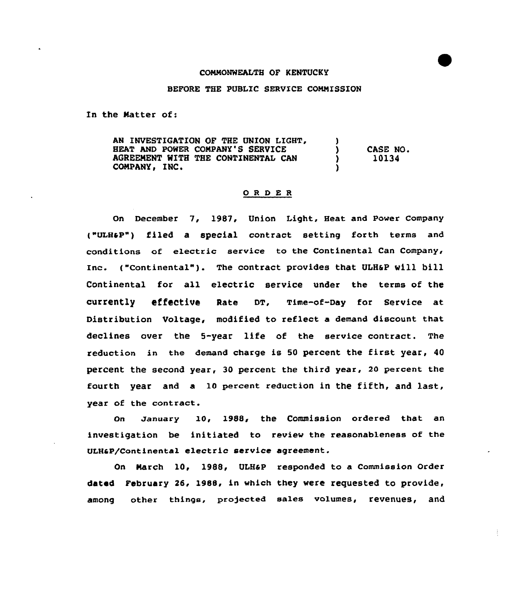## CONNONWEALTH OF KENTUCKY

## BEFORE THE PUBLIC SERVICE COMMISSION

In the Natter of:

AN INVESTIGATION OF THE UNION LIGHT, HEAT AND POWER COMPANY'S SERVICE AGREENENT WITH THE CONTINENTAL CAN COMPANY, INC. Of:<br>IGATION OF THE UNION LIGHT, <br>POWER COMPANY'S SERVICE (NITH THE CONTINENTAL CAN ) 10134<br>INC. (NITE THE CONTINENTAL CAN ) 10134 10134

## ORDER

On December 7, 1987, Union Light, Heat and Power Company ("VLBaP") filed a special contract setting forth terms and conditions of electric service to the Continental Can Company, Inc. {"Continental"). The contract provides that ULH6P vill bill Continental for all electric service under the terms of the currently effective Rate DT, Time-of-Day for service at Distribution Voltage, modified to reflect a demand discount that declines over the 5-year life of the service contract. The reduction in the demand charge is <sup>50</sup> percent the first year, <sup>40</sup> percent the second year, 30 percent the third year, 20 percent the fourth year and a 10 percent reduction in the fifth, and last, year of the contract.

On January 10, 1988, the Commission ordered that an investigation be initiated to review the reasonableness of the ULH&P/Continental electric service agreement.

On Narch 10, 19&8, ULHaP responded to a Commission Order dated February 26, 1988, in which they were requested to provide, among other things, projected sales volumes, revenues, and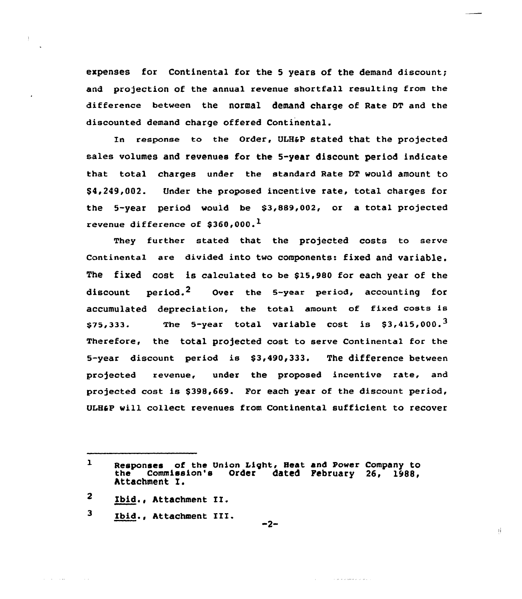expenses for Continental for the 5 years of the demand discount; and projection of the annual revenue shortfall resulting from the difference between the normal demand charge of Rate DT and the discounted demand charge offered Continental.

In response to the Order, ULH&P stated that the projected sales volumes and revenues for the 5-year discount period indicate that total charges under the standard Rate DT would amount to \$ 4,249,002. Under the proposed incentive rate, total charges for the 5-year period would be  $$3,889,002$ , or a total projected revenue difference of \$360,000.<sup>1</sup>

They further stated that the projected costs to serve continental are divided into two components: fixed and variable. The fixed cost is calculated to be \$l5,980 for each year of the discount period.<sup>2</sup> Over the 5-year period, accounting for accumulated depreciation, the total amount of fixed costs is  $$75,333.$  The 5-year total variable cost is  $$3,415,000.^3$ Therefore, the total projected cost to serve Continental for the 5-year discount period is \$3,490,333. The difference between pro)ected revenue, under the proposed incentive rate, and projected cost is \$398,669. For each year of the discount period, ULHaP will collect revenues from Continental sufficient to recover

 $\mathbf{3}$ Ibid., Attachment III.

and a straight and state

 $-2-$ 

a se proceso de la p

 $\mathbf{1}$ Responses of the Union Light, Heat and Power Company to<br>the Commission's Order dated February 26. 1988. Order dated February 26, 1988, Attachment I.

 $\mathbf{2}$ Ibid., Attachment II.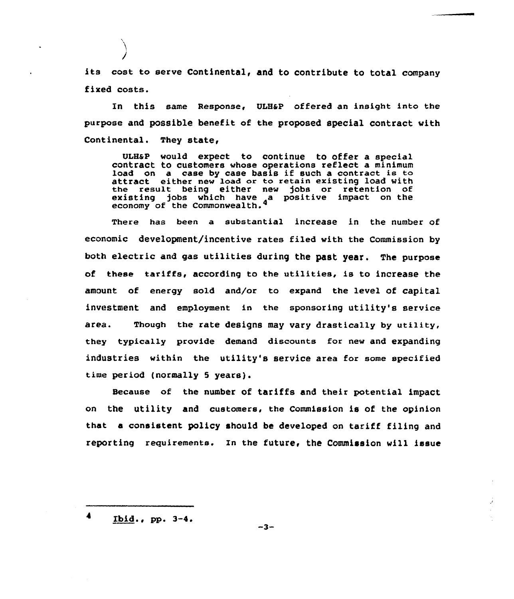its cost to serve Continental, and to contribute to total company fixed costs.

In this same Response, ULH&P offered an insight into the purpose and possible benefit of the proposed special contract with Continental. They state,

ULH&P would expect to continue to offer a special contraCt to customers whose operations reflect a minimum load on a case by case basis if such a contract is to attract either new load or to retain existing load with the result being either new jobs or retention of existing jobs which have a positive impact on the economy of the Commonwealth.

There has been a substantial increase in the number of economic development/incentive rates filed with the Commission by both electric and gas utilities during the past year. The purpose of these tariffs, according to the utilities, is to increase the amount of energy sold and/or to expand the level of capital investment and employment in the sponsoring utility's service area. Though the rate designs may vary drastically by utility, they typically provide demand discounts for new and expanding industries within the utility's service area for some specified time period (normally 5 years).

Because of the number of tariffs and their potential impact on the utility and customers, the Commission is of the opinion that a consistent policy should be developed on tariff filing and reporting reguirements. In the future< the Commission will issue

 $Ibid., pp. 3-4.$ 

 $-3-$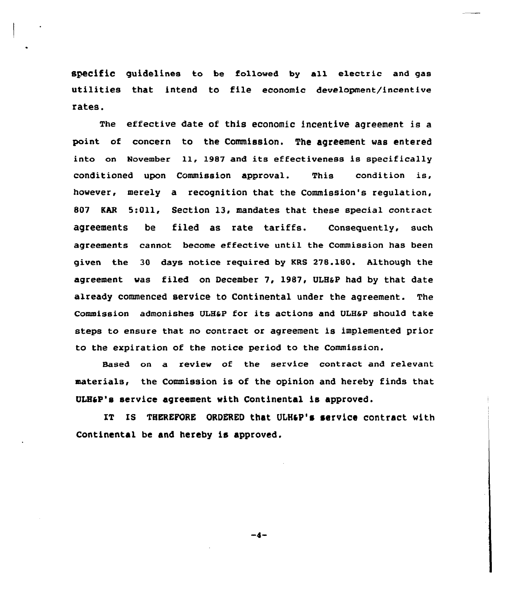SpeCifiC guidelines to be followed by all electric and gas utilities that intend to file economic development/incentive rates.

The effective date of this economic incentive agreement is a point of concern to the Commission. The agreement was entered into on November 11, 1987 and its effectiveness is specifically conditioned upon Commission approval. This condition is, however, merely a recognition that the Commission's regulation, 807 KAR 5:Oil, Section 13, mandates that these special contract agreements be filed as rate tariffs. Consequently, such agreements cannot become effective until the Commission has been given the 30 days notice required by KRS 278.180. Although the agreement was filed on December 7, 1987, ULHSP had by that date already commenced service to Continental under the agreement. The Commission admonishes ULHaP for its actions and ULHaP should take steps to ensure that no contract or agreement is implemented prior to the expiration of the notice period to the Commission.

Based on a review of the service contract and relevant materials, the Commission is of the opinion and hereby finds that GAP's service agreement with Continental is approved.

IT IS THEREFORE ORDERED that ULH&P's service contract with Continental be and hereby is approved,

 $-4-$